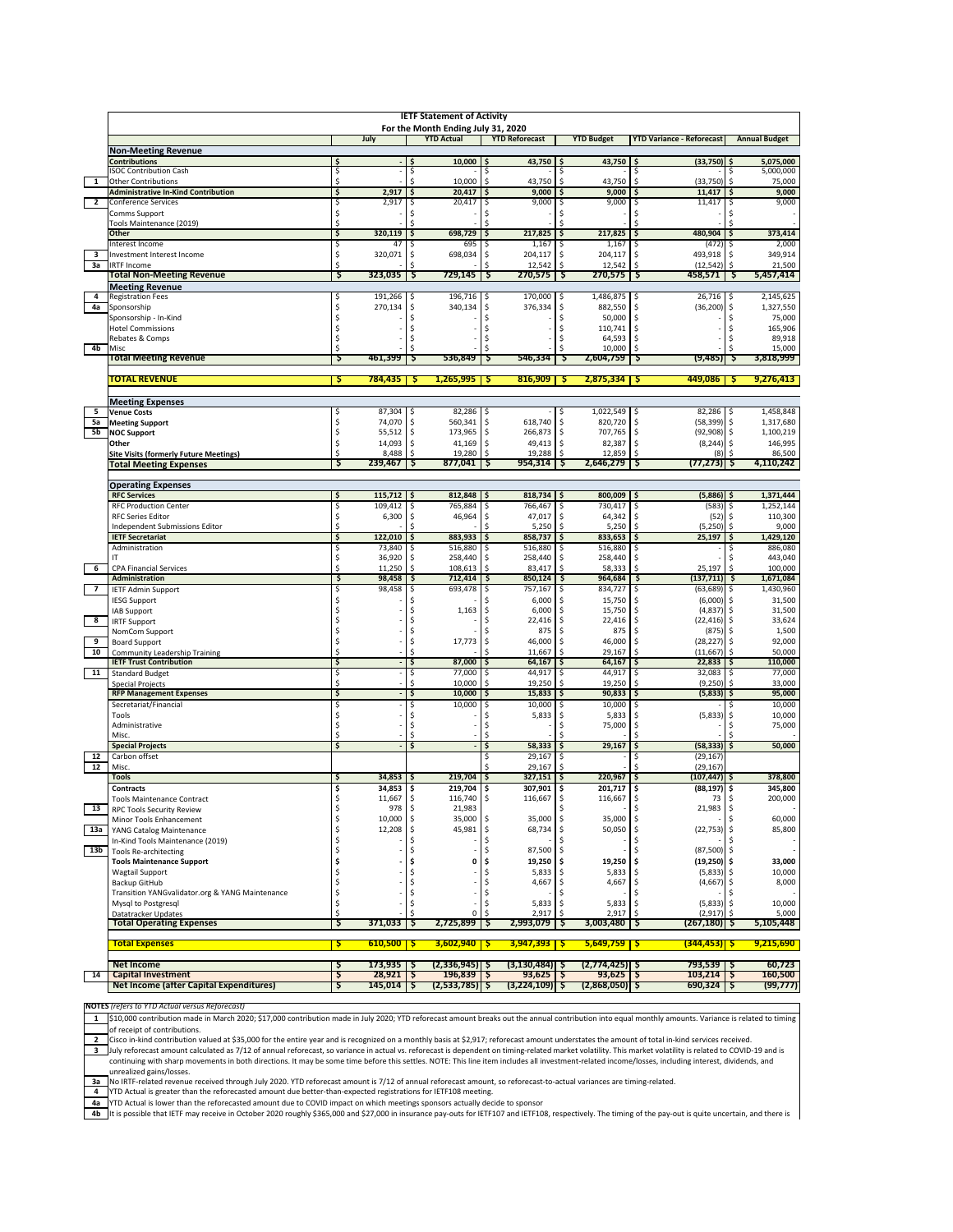|                 | <b>IETF Statement of Activity</b>                                              |          |                               |           |                                                         |          |                                   |            |                                 |          |                                  |                                 |
|-----------------|--------------------------------------------------------------------------------|----------|-------------------------------|-----------|---------------------------------------------------------|----------|-----------------------------------|------------|---------------------------------|----------|----------------------------------|---------------------------------|
|                 |                                                                                |          | July                          |           | For the Month Ending July 31, 2020<br><b>YTD Actual</b> |          | <b>YTD Reforecast</b>             |            |                                 |          | <b>YTD Variance - Reforecast</b> |                                 |
|                 | <b>Non-Meeting Revenue</b>                                                     |          |                               |           |                                                         |          |                                   |            | <b>YTD Budget</b>               |          |                                  | <b>Annual Budget</b>            |
|                 | <b>Contributions</b>                                                           | \$       |                               |           | 10,000                                                  |          | 43,750 \$                         |            | 43,750                          |          | $(33,750)$ \$                    | 5,075,000                       |
|                 | <b>ISOC Contribution Cash</b>                                                  | \$       |                               | \$        |                                                         |          |                                   | \$         |                                 | S        |                                  | 5,000,000<br>\$                 |
| 1               | <b>Other Contributions</b>                                                     | \$       |                               | \$        | 10,000                                                  | S        | 43,750                            | \$.        | 43,750                          | S.       | (33,750)                         | \$<br>75,000                    |
| $\overline{2}$  | <b>Administrative In-Kind Contribution</b><br><b>Conference Services</b>       | \$<br>\$ | 2,917<br>2,917                | \$<br>-\$ | 20,417<br>20,417                                        | \$<br>S  | 9,000<br>9,000                    | \$<br>\$   | 9,000<br>9,000                  | \$<br>\$ | 11,417<br>11,417                 | \$<br>9,000<br>9,000<br>Ś       |
|                 | Comms Support                                                                  | \$       |                               | \$        |                                                         | \$       |                                   | \$         |                                 | \$       |                                  |                                 |
|                 | Tools Maintenance (2019)                                                       | Ŝ        |                               | Ś         |                                                         | \$       |                                   | Ś          |                                 | S        |                                  |                                 |
|                 | Other                                                                          | \$       | 320,119                       | ۱\$       | 698,729                                                 | \$       | 217,825                           | \$         | 217,825                         | Ś        | 480,904                          | 373,414                         |
|                 | Interest Income                                                                | \$,      | 47                            | -\$       | 695                                                     | \$.      | 1,167                             | -\$        | 1,167                           | S        | (472)                            | ς<br>2,000                      |
| 3<br>За         | Investment Interest Income<br><b>IRTF Income</b>                               | \$<br>Ś  | 320,071                       | S<br>S    | 698,034                                                 | \$<br>S  | 204,117<br>12,542                 | \$<br>\$.  | 204,117<br>12,542               | S.<br>S. | 493,918<br>(12, 542)             | \$<br>349,914<br>\$<br>21,500   |
|                 | <b>Total Non-Meeting Revenue</b>                                               | Ş        | 323,035                       | ۰Ş        | 729,145                                                 | 5        | 270,575                           | Ş          | 270,575                         | -S       | 458,571                          | 5,457,414<br>-S                 |
|                 | <b>Meeting Revenue</b>                                                         |          |                               |           |                                                         |          |                                   |            |                                 |          |                                  |                                 |
| 4               | <b>Registration Fees</b>                                                       | \$       | 191,266                       | \$        | 196,716                                                 | \$       | 170,000                           | \$         | 1,486,875                       | \$,      | 26,716                           | \$<br>2,145,625                 |
| 4a              | Sponsorship                                                                    | \$       | 270,134                       | \$        | 340,134                                                 | \$       | 376,334                           | \$         | 882,550                         | \$       | (36, 200)                        | \$<br>1,327,550                 |
|                 | Sponsorship - In-Kind<br><b>Hotel Commissions</b>                              | \$<br>Ś  |                               | \$<br>Ś   |                                                         | \$<br>Ś  |                                   | \$<br>\$   | 50,000<br>110,741               | .s       |                                  | \$<br>75,000<br>Ś<br>165,906    |
|                 | Rebates & Comps                                                                | Ś        |                               | S         |                                                         | S        |                                   | Ś          | 64,593                          | -S       |                                  | 89,918                          |
| 4 <sub>b</sub>  | Misc                                                                           | Ś        |                               |           |                                                         |          |                                   |            | 10,000                          | S        |                                  | 15,000                          |
|                 | <b>Total Meeting Revenue</b>                                                   | s        | 461,399                       | s         | 536,849                                                 | s        | 546,334                           | S          | 2,604,759                       | s        | (9, 485)                         | 3,818,999                       |
|                 |                                                                                |          |                               |           |                                                         |          |                                   |            |                                 |          |                                  |                                 |
|                 | TOTAL REVENUE                                                                  | -Ş       | 784,435                       | -5        | 1,265,995                                               | - I S    | $816,909$ \$                      |            | 2,875,334                       |          | 449,086   \$                     | 9,276,413                       |
|                 | <b>Meeting Expenses</b>                                                        |          |                               |           |                                                         |          |                                   |            |                                 |          |                                  |                                 |
| 5               | <b>Venue Costs</b>                                                             | \$       | $87,304$ \$                   |           | 82,286                                                  | -\$      |                                   | s          | 1,022,549                       | -S       | 82,286                           | 1,458,848<br>-\$                |
| 5a              | <b>Meeting Support</b>                                                         | \$       | 74,070                        | S.        | 560,341                                                 | \$       | 618,740                           | Ś          | 820,720                         | Ŝ        | (58, 399)                        | \$<br>1,317,680                 |
| 5b              | <b>NOC Support</b>                                                             | \$       | 55,512                        | -S        | 173,965                                                 | \$       | 266,873                           | S.         | 707,765                         | S.       | (92, 908)                        | \$<br>1,100,219                 |
|                 | Other                                                                          | \$<br>Ŝ  | 14,093 \$<br>8,488            | -Ś        | 41,169<br>19,280                                        | S<br>-S  | 49,413 \$<br>19,288               | Ŝ.         | 82,387<br>12,859                | -S<br>-S | $(8, 244)$ \$<br>(8)             | 146,995<br>Ś<br>86,500          |
|                 | <b>Site Visits (formerly Future Meetings)</b><br><b>Total Meeting Expenses</b> | Ş        | 239,467 \$                    |           | $877,041$ \$                                            |          | $954,314$ \$                      |            | 2,646,279                       | Ş        | (77,273)  \$                     | 4,110,242                       |
|                 |                                                                                |          |                               |           |                                                         |          |                                   |            |                                 |          |                                  |                                 |
|                 | <b>Operating Expenses</b>                                                      |          |                               |           |                                                         |          |                                   |            |                                 |          |                                  |                                 |
|                 | <b>RFC Services</b>                                                            | \$.      | $115,712$ \$                  |           | 812,848                                                 | ۱s       | $818,734$ \$                      |            | 800,009                         | \$.      | $(5,886)$ \$                     | 1,371,444                       |
|                 | <b>RFC Production Center</b><br><b>RFC Series Editor</b>                       | \$<br>\$ | 109,412 \$<br>6,300           | \$        | 765,884<br>46,964                                       | \$<br>\$ | 766,467<br>47,017                 | \$<br>\$   | 730,417<br>64,342               | S<br>\$  | $(583)$ \$<br>(52)               | 1,252,144<br>\$<br>110,300      |
|                 | Independent Submissions Editor                                                 | Ŝ        |                               | s         |                                                         | s        | 5,250                             | \$.        | 5,250                           | S        | (5,250)                          | \$<br>9,000                     |
|                 | <b>IETF Secretariat</b>                                                        | \$       | 122.010                       | ۱\$       | 883,933                                                 | \$       | 858,737                           | \$         | 833,653                         |          | 25,197                           | 1,429,120                       |
|                 | Administration                                                                 | \$       | 73,840                        | -\$       | 516,880                                                 | S        | 516,880                           | \$         | 516,880                         | \$       |                                  | 886,080                         |
|                 |                                                                                | \$       | 36,920                        | \$        | 258,440                                                 | S        | 258,440                           | \$         | 258,440                         | S        |                                  | 443,040<br>Ś                    |
| $6\overline{6}$ | <b>CPA Financial Services</b><br>Administration                                | Ś<br>\$  | 11,250<br>98,458              | \$<br>-\$ | 108,613<br>712,414                                      | \$<br>\$ | 83,417<br>850,124                 | \$<br>\$   | 58,333<br>964,684               | \$<br>Ś. | 25,197<br>(137, 711)             | 100,000<br>Ś<br>1,671,084<br>\$ |
| $\overline{z}$  | <b>IETF Admin Support</b>                                                      | \$       | 98,458                        | -\$       | 693,478                                                 | \$       | 757,167                           | \$         | 834,727                         | \$       | (63, 689)                        | \$<br>1,430,960                 |
|                 | <b>IESG Support</b>                                                            | \$       |                               | Ś         |                                                         |          | 6,000                             | \$         | 15,750                          | \$       | (6,000)                          | \$<br>31,500                    |
|                 | IAB Support                                                                    | \$       |                               | s         | 1,163                                                   | S        | 6,000                             | \$         | 15,750                          | S        | (4,837)                          | 31,500<br>\$                    |
| 8               | <b>IRTF Support</b>                                                            | \$.      |                               | \$        |                                                         | S        | 22,416                            | \$.        | 22,416                          |          | (22, 416)                        | 33,624<br>\$                    |
| 9               | NomCom Support<br>Board Support                                                | \$<br>\$ |                               | Ś<br>\$   | 17,773                                                  | S<br>\$  | 875<br>46,000                     | \$.<br>\$  | 875<br>46,000                   |          | (875)<br>(28, 227)               | \$<br>1,500<br>92,000<br>\$     |
| 10              | Community Leadership Training                                                  | \$       |                               | \$        |                                                         | \$       | 11,667                            | \$         | 29,167                          | Š.       | (11, 667)                        | Ś<br>50,000                     |
|                 | <b>IETF Trust Contribution</b>                                                 | \$       |                               | \$        | 87,000                                                  | \$       | 64,167                            | \$         | 64,167                          | S        | 22,833                           | 110,000                         |
| 11              | <b>Standard Budget</b>                                                         | ς        |                               | \$        | 77,000                                                  | S        | 44,917                            | -\$        | 44,917                          | S        | 32,083                           | 77,000<br>\$                    |
|                 | <b>Special Projects</b><br><b>RFP Management Expenses</b>                      | Ś<br>\$  |                               | Ś<br>\$   | 10,000<br>10,000                                        | \$<br>\$ | 19,250<br>15,833                  | \$<br>\$   | 19,250<br>90,833                | Ś<br>\$  | (9,250)<br>(5,833)               | \$<br>33,000<br>\$<br>95,000    |
|                 | Secretariat/Financial                                                          | Ŝ        |                               | S         | 10,000                                                  | S        | 10,000                            | \$.        | 10,000                          |          |                                  | 10,000                          |
|                 | Tools                                                                          | \$       |                               | \$        |                                                         | \$       | 5,833                             | \$         | 5,833                           | \$       | (5,833)                          | 10,000<br>\$                    |
|                 | Administrative                                                                 | Ś        |                               | Ś         |                                                         | \$       |                                   | Ś          | 75,000                          | \$       |                                  | 75,000                          |
|                 | Misc.                                                                          | Ś        |                               | Ś         |                                                         | Ś        |                                   | ς          |                                 | S        |                                  |                                 |
| 12              | <b>Special Projects</b><br>Carbon offset                                       | \$       |                               | \$        |                                                         | \$<br>Ś  | 58,333<br>29,167                  | \$<br>\$.  | 29,167                          | S<br>Ś   | (58, 333)<br>(29, 167)           | 50,000<br>\$                    |
| 12              | Misc.                                                                          |          |                               |           |                                                         |          | 29,167                            | \$         |                                 | Ś        | (29, 167)                        |                                 |
|                 | <b>Tools</b>                                                                   | \$       | 34,853                        | ۱\$       | 219,704                                                 | \$       | 327,151                           | \$         | 220,967                         | \$       | (107, 447)                       | 378,800                         |
|                 | <b>Contracts</b>                                                               | \$       | 34,853                        | -\$       | 219,704                                                 | \$.      | 307,901                           | \$         | 201,717                         | S        | (88, 197)                        | 345,800<br>\$,                  |
|                 | <b>Tools Maintenance Contract</b>                                              | Ŝ        | 11,667                        | ۱s        | 116,740                                                 | -S       | 116,667                           | S.         | 116,667                         | -S       | 73                               | 200,000<br>\$                   |
| 13              | RPC Tools Security Review                                                      | \$       | 978<br>10,000 \$              |           | 21,983<br>35,000                                        | \$       | 35,000                            | \$         | 35,000                          | \$       | 21,983                           | \$<br>60,000                    |
|                 | Minor Tools Enhancement<br>13a YANG Catalog Maintenance                        | \$       | 12,208 \$                     |           | 45,981                                                  | \$       | 68,734                            | \$         | 50,050                          | \$.      | (22, 753)                        | 85,800<br>l \$                  |
|                 | In-Kind Tools Maintenance (2019)                                               | Ŝ        |                               | \$        |                                                         | \$       |                                   | \$         |                                 |          |                                  |                                 |
| 13b             | <b>Tools Re-architecting</b>                                                   | \$       |                               | \$        |                                                         | \$       | 87,500                            | \$.        |                                 | \$.      | $(87,500)$ \$                    |                                 |
|                 | <b>Tools Maintenance Support</b>                                               | \$       |                               | \$        | 0                                                       | \$       | 19,250                            | \$         | 19,250                          | -\$      | $(19,250)$ \$                    | 33,000                          |
|                 | <b>Wagtail Support</b><br>Backup GitHub                                        | \$<br>\$ |                               | \$<br>S   |                                                         | S<br>S   | 5,833<br>4,667                    | \$.<br>\$. | 5,833<br>4,667                  | S        | $(5,833)$ \$                     | 10,000<br>8,000                 |
|                 | Transition YANGvalidator.org & YANG Maintenance                                | \$       |                               | \$        |                                                         | S        |                                   | \$         |                                 |          | $(4,667)$ \$                     |                                 |
|                 | Mysql to Postgresql                                                            | \$       |                               | \$        |                                                         | \$       | 5,833                             | \$         | 5,833                           | -\$      | (5,833)                          | \$<br>10,000                    |
|                 | Datatracker Updates                                                            | \$       |                               | S         | $\mathsf 0$                                             | \$       | 2,917                             | \$         | 2,917                           | -S       | (2, 917)                         | 5,000<br>\$                     |
|                 | <b>Total Operating Expenses</b>                                                | -Ş       | 371,033                       | -5        | 2,725,899                                               | 5        | 2,993,079                         | S          | 3,003,480                       | S        | (267,180)   Ş                    | 5,105,448                       |
|                 | <b>Total Expenses</b>                                                          | -5       | $610,500$ \$                  |           | $3,602,940$   \$                                        |          | 3,947,393 <b>S</b>                |            | $5,649,759$ \$                  |          | (344,453)  Ş                     | 9,215,690                       |
|                 |                                                                                |          |                               |           |                                                         |          |                                   |            |                                 |          |                                  |                                 |
|                 | <b>Net Income</b>                                                              | Ş        | $173,935$   \$                |           | $(2,336,945)$ \$                                        |          | $(3, 130, 484)$ \$                |            | $(2,774,425)$ \$                |          | 793,539   \$                     | 60,723                          |
| 14              | <b>Capital Investment</b><br><b>Net Income (after Capital Expenditures)</b>    | Ş<br>-\$ | $28,921$   \$<br>$145,014$ \$ |           | $196,839$ $\sqrt{5}$<br>$(2,533,785)$ \$                |          | $93,625$   \$<br>$(3,224,109)$ \$ |            | $93,625$ \$<br>$(2,868,050)$ \$ |          | $103,214$ \$<br>$690,324$ \$     | 160,500<br>(99, 777)            |
|                 |                                                                                |          |                               |           |                                                         |          |                                   |            |                                 |          |                                  |                                 |

**NOTES** *(refers to YTD Actual versus Reforecast)*

**1** \$10,000 contribution made in March 2020; \$17,000 contribution made in July 2020; YTD reforecast amount breaks out the annual contribution into equal monthly amounts. Variance is related to timing of receipt of contributions.

2 Cisco in‐kind contribution valued at \$35,000 for the entire year and is recognized on a monthly basis at \$2,917; reforecast amount understates the amount of total in‐kind services received.

July reforecast amount calculated as 7/12 of annual reforecast, so variance in actual vs. reforecast is dependent on timing-related market volatility. This market volatility is related to COVID-19 and is extres. Name befor unrealized gains/losses.

No IRTF-related revenue received through July 2020. YTD reforecast amount is 7/12 of annual reforecast amount, so reforecast-to-actual variances are timing-related.<br>1971 Actual is greater than the reforecasted amount due b It is possible that IETF may receive in October 2020 roughly \$365,000 and \$27,000 in insurance pay‐outs for IETF107 and IETF108, respectively. The timing of the pay‐out is quite uncertain, and there is